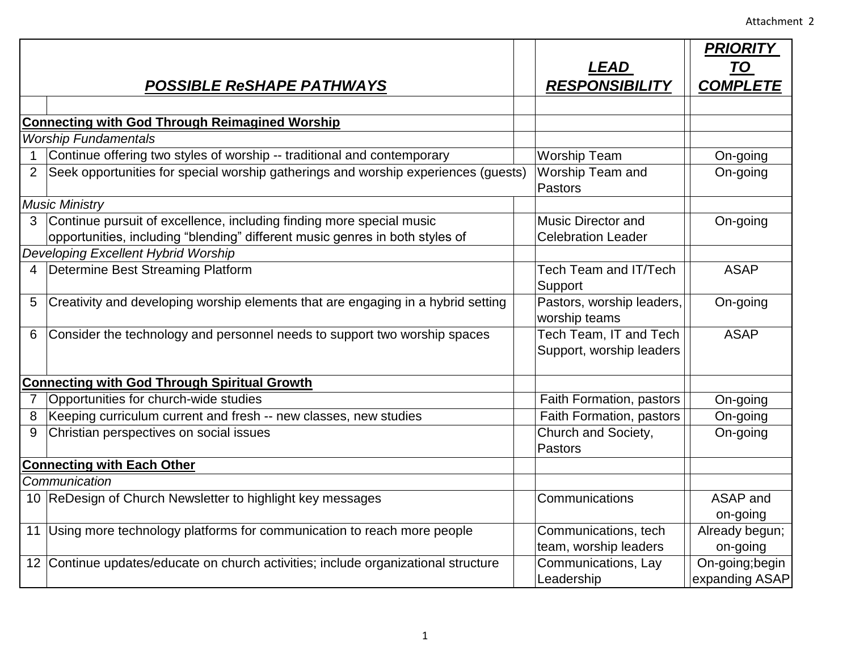|                                                     |                                                                                    |                           | <b>PRIORITY</b> |  |
|-----------------------------------------------------|------------------------------------------------------------------------------------|---------------------------|-----------------|--|
|                                                     |                                                                                    | <b>LEAD</b>               | <b>TO</b>       |  |
|                                                     | <b>POSSIBLE ReSHAPE PATHWAYS</b>                                                   | <b>RESPONSIBILITY</b>     | <b>COMPLETE</b> |  |
|                                                     |                                                                                    |                           |                 |  |
|                                                     | <b>Connecting with God Through Reimagined Worship</b>                              |                           |                 |  |
|                                                     | <b>Worship Fundamentals</b>                                                        |                           |                 |  |
|                                                     | Continue offering two styles of worship -- traditional and contemporary            | <b>Worship Team</b>       | On-going        |  |
|                                                     | Seek opportunities for special worship gatherings and worship experiences (guests) | Worship Team and          | On-going        |  |
|                                                     |                                                                                    | <b>Pastors</b>            |                 |  |
|                                                     | <b>Music Ministry</b>                                                              |                           |                 |  |
| 3.                                                  | Continue pursuit of excellence, including finding more special music               | <b>Music Director and</b> | On-going        |  |
|                                                     | opportunities, including "blending" different music genres in both styles of       | <b>Celebration Leader</b> |                 |  |
|                                                     | Developing Excellent Hybrid Worship                                                |                           |                 |  |
| 4                                                   | Determine Best Streaming Platform                                                  | Tech Team and IT/Tech     | <b>ASAP</b>     |  |
|                                                     |                                                                                    | Support                   |                 |  |
| 5                                                   | Creativity and developing worship elements that are engaging in a hybrid setting   | Pastors, worship leaders, | On-going        |  |
|                                                     |                                                                                    | worship teams             |                 |  |
| 6                                                   | Consider the technology and personnel needs to support two worship spaces          | Tech Team, IT and Tech    | <b>ASAP</b>     |  |
|                                                     |                                                                                    | Support, worship leaders  |                 |  |
|                                                     |                                                                                    |                           |                 |  |
| <b>Connecting with God Through Spiritual Growth</b> |                                                                                    |                           |                 |  |
|                                                     | Opportunities for church-wide studies                                              | Faith Formation, pastors  | On-going        |  |
| 8                                                   | Keeping curriculum current and fresh -- new classes, new studies                   | Faith Formation, pastors  | On-going        |  |
| 9                                                   | Christian perspectives on social issues                                            | Church and Society,       | On-going        |  |
|                                                     |                                                                                    | <b>Pastors</b>            |                 |  |
|                                                     | <b>Connecting with Each Other</b>                                                  |                           |                 |  |
|                                                     | Communication                                                                      |                           |                 |  |
|                                                     | 10 ReDesign of Church Newsletter to highlight key messages                         | Communications            | ASAP and        |  |
|                                                     |                                                                                    |                           | on-going        |  |
| 11                                                  | Using more technology platforms for communication to reach more people             | Communications, tech      | Already begun;  |  |
|                                                     |                                                                                    | team, worship leaders     | on-going        |  |
|                                                     | 12 Continue updates/educate on church activities; include organizational structure | Communications, Lay       | On-going;begin  |  |
|                                                     |                                                                                    | Leadership                | expanding ASAP  |  |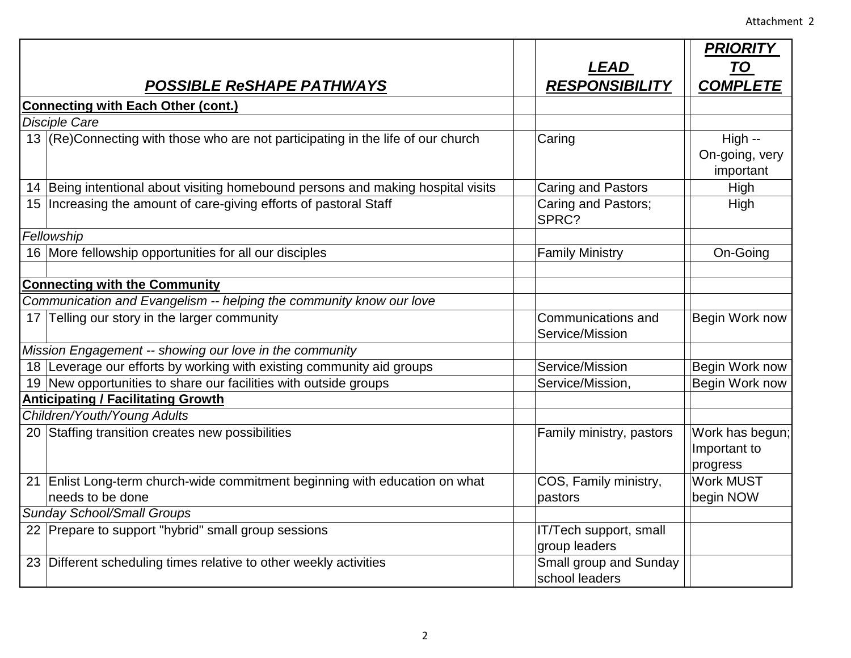|                                                         |                                                                                  |                                       | <b>PRIORITY</b>                             |
|---------------------------------------------------------|----------------------------------------------------------------------------------|---------------------------------------|---------------------------------------------|
|                                                         |                                                                                  | LEAD                                  | <b>TO</b>                                   |
|                                                         | <b>POSSIBLE ReSHAPE PATHWAYS</b>                                                 | <b>RESPONSIBILITY</b>                 | <b>COMPLETE</b>                             |
| <b>Connecting with Each Other (cont.)</b>               |                                                                                  |                                       |                                             |
| <b>Disciple Care</b>                                    |                                                                                  |                                       |                                             |
|                                                         | 13 (Re)Connecting with those who are not participating in the life of our church | Caring                                | High --<br>On-going, very<br>important      |
|                                                         | 14 Being intentional about visiting homebound persons and making hospital visits | <b>Caring and Pastors</b>             | High                                        |
|                                                         | 15   Increasing the amount of care-giving efforts of pastoral Staff              | Caring and Pastors;<br>SPRC?          | High                                        |
|                                                         | Fellowship                                                                       |                                       |                                             |
|                                                         | 16 More fellowship opportunities for all our disciples                           | <b>Family Ministry</b>                | On-Going                                    |
|                                                         |                                                                                  |                                       |                                             |
|                                                         | <b>Connecting with the Community</b>                                             |                                       |                                             |
|                                                         | Communication and Evangelism -- helping the community know our love              |                                       |                                             |
|                                                         | 17 Telling our story in the larger community                                     | Communications and<br>Service/Mission | Begin Work now                              |
| Mission Engagement -- showing our love in the community |                                                                                  |                                       |                                             |
|                                                         | 18 Leverage our efforts by working with existing community aid groups            | Service/Mission                       | Begin Work now                              |
|                                                         | 19 New opportunities to share our facilities with outside groups                 | Service/Mission,                      | Begin Work now                              |
|                                                         | <b>Anticipating / Facilitating Growth</b>                                        |                                       |                                             |
|                                                         | Children/Youth/Young Adults                                                      |                                       |                                             |
|                                                         | 20 Staffing transition creates new possibilities                                 | Family ministry, pastors              | Work has begun;<br>Important to<br>progress |
|                                                         | 21 Enlist Long-term church-wide commitment beginning with education on what      | COS, Family ministry,                 | <b>Work MUST</b>                            |
|                                                         | needs to be done                                                                 | pastors                               | begin NOW                                   |
| <b>Sunday School/Small Groups</b>                       |                                                                                  |                                       |                                             |
|                                                         | 22 Prepare to support "hybrid" small group sessions                              | IT/Tech support, small                |                                             |
|                                                         |                                                                                  | group leaders                         |                                             |
|                                                         | 23 Different scheduling times relative to other weekly activities                | Small group and Sunday                |                                             |
|                                                         |                                                                                  | school leaders                        |                                             |